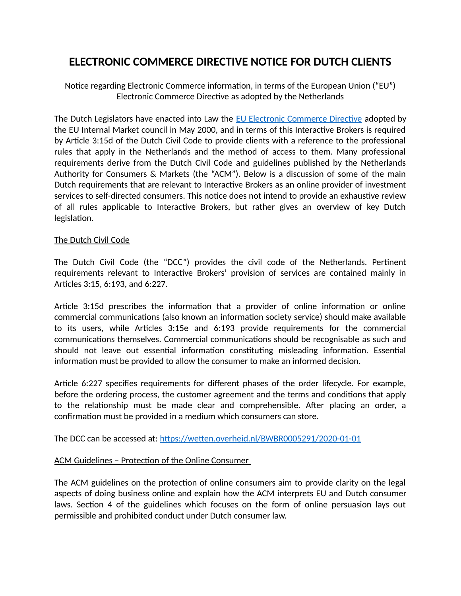## **ELECTRONIC COMMERCE DIRECTIVE NOTICE FOR DUTCH CLIENTS**

Notice regarding Electronic Commerce information, in terms of the European Union ("EU") Electronic Commerce Directive as adopted by the Netherlands

The Dutch Legislators have enacted into Law the [EU Electronic Commerce Directive](https://eur-lex.europa.eu/legal-content/EN/ALL/?uri=celex%3A32000L0031) adopted by the EU Internal Market council in May 2000, and in terms of this Interactive Brokers is required by Article 3:15d of the Dutch Civil Code to provide clients with a reference to the professional rules that apply in the Netherlands and the method of access to them. Many professional requirements derive from the Dutch Civil Code and guidelines published by the Netherlands Authority for Consumers & Markets (the "ACM"). Below is a discussion of some of the main Dutch requirements that are relevant to Interactive Brokers as an online provider of investment services to self-directed consumers. This notice does not intend to provide an exhaustive review of all rules applicable to Interactive Brokers, but rather gives an overview of key Dutch legislation.

## The Dutch Civil Code

The Dutch Civil Code (the "DCC") provides the civil code of the Netherlands. Pertinent requirements relevant to Interactive Brokers' provision of services are contained mainly in Articles 3:15, 6:193, and 6:227.

Article 3:15d prescribes the information that a provider of online information or online commercial communications (also known an information society service) should make available to its users, while Articles 3:15e and 6:193 provide requirements for the commercial communications themselves. Commercial communications should be recognisable as such and should not leave out essential information constituting misleading information. Essential information must be provided to allow the consumer to make an informed decision.

Article 6:227 specifies requirements for different phases of the order lifecycle. For example, before the ordering process, the customer agreement and the terms and conditions that apply to the relationship must be made clear and comprehensible. After placing an order, a confirmation must be provided in a medium which consumers can store.

The DCC can be accessed at:<https://wetten.overheid.nl/BWBR0005291/2020-01-01>

## ACM Guidelines – Protection of the Online Consumer

The ACM guidelines on the protection of online consumers aim to provide clarity on the legal aspects of doing business online and explain how the ACM interprets EU and Dutch consumer laws. Section 4 of the guidelines which focuses on the form of online persuasion lays out permissible and prohibited conduct under Dutch consumer law.